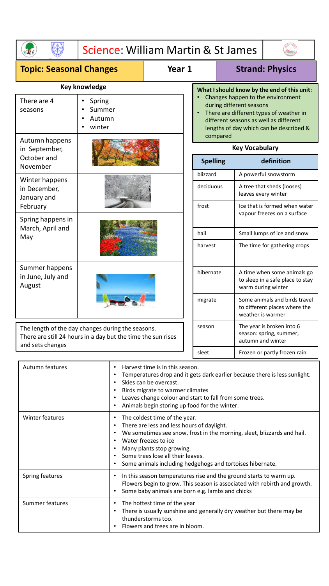|                                                                                                                                       | Science: William Martin & St James                |                 |                                                                                                                                                                                                           |                      |                                                      |                                                                                       |  |
|---------------------------------------------------------------------------------------------------------------------------------------|---------------------------------------------------|-----------------|-----------------------------------------------------------------------------------------------------------------------------------------------------------------------------------------------------------|----------------------|------------------------------------------------------|---------------------------------------------------------------------------------------|--|
| <b>Topic: Seasonal Changes</b><br>Year 1                                                                                              |                                                   |                 |                                                                                                                                                                                                           |                      | <b>Strand: Physics</b>                               |                                                                                       |  |
| <b>Key knowledge</b>                                                                                                                  |                                                   |                 | What I should know by the end of this unit:                                                                                                                                                               |                      |                                                      |                                                                                       |  |
| There are 4<br>seasons                                                                                                                | Spring<br>Summer<br>Autumn<br>winter<br>$\bullet$ |                 | Changes happen to the environment<br>during different seasons<br>There are different types of weather in<br>different seasons as well as different<br>lengths of day which can be described &<br>compared |                      |                                                      |                                                                                       |  |
| Autumn happens<br>in September,<br>October and<br>November                                                                            |                                                   |                 | <b>Key Vocabulary</b>                                                                                                                                                                                     |                      |                                                      |                                                                                       |  |
|                                                                                                                                       |                                                   | <b>Spelling</b> |                                                                                                                                                                                                           |                      | definition                                           |                                                                                       |  |
| Winter happens                                                                                                                        |                                                   | blizzard        |                                                                                                                                                                                                           | A powerful snowstorm |                                                      |                                                                                       |  |
| in December,<br>January and                                                                                                           |                                                   |                 | deciduous                                                                                                                                                                                                 |                      | leaves every winter                                  | A tree that sheds (looses)                                                            |  |
| February<br>Spring happens in                                                                                                         |                                                   |                 | frost                                                                                                                                                                                                     |                      |                                                      | Ice that is formed when water<br>vapour freezes on a surface                          |  |
| March, April and<br>May                                                                                                               |                                                   |                 | hail                                                                                                                                                                                                      |                      |                                                      | Small lumps of ice and snow                                                           |  |
|                                                                                                                                       |                                                   |                 | harvest                                                                                                                                                                                                   |                      |                                                      | The time for gathering crops                                                          |  |
| Summer happens<br>in June, July and<br>August                                                                                         |                                                   |                 | hibernate                                                                                                                                                                                                 |                      |                                                      | A time when some animals go<br>to sleep in a safe place to stay<br>warm during winter |  |
|                                                                                                                                       |                                                   |                 | migrate                                                                                                                                                                                                   |                      | weather is warmer                                    | Some animals and birds travel<br>to different places where the                        |  |
| The length of the day changes during the seasons.<br>There are still 24 hours in a day but the time the sun rises<br>and sets changes |                                                   | season          |                                                                                                                                                                                                           | autumn and winter    | The year is broken into 6<br>season: spring, summer, |                                                                                       |  |

| and sets changes |                                                                                                                                                                                                                                                                                                                                                       | sleet                                                                                                                                                                                                                                                    | Frozen or partly frozen rain                                              |  |
|------------------|-------------------------------------------------------------------------------------------------------------------------------------------------------------------------------------------------------------------------------------------------------------------------------------------------------------------------------------------------------|----------------------------------------------------------------------------------------------------------------------------------------------------------------------------------------------------------------------------------------------------------|---------------------------------------------------------------------------|--|
|                  |                                                                                                                                                                                                                                                                                                                                                       |                                                                                                                                                                                                                                                          |                                                                           |  |
| Autumn features  | Harvest time is in this season.<br>$\bullet$<br>Temperatures drop and it gets dark earlier because there is less sunlight.<br>$\bullet$<br>Skies can be overcast.<br>٠<br>Birds migrate to warmer climates<br>$\bullet$<br>Leaves change colour and start to fall from some trees.<br>$\bullet$<br>Animals begin storing up food for the winter.<br>٠ |                                                                                                                                                                                                                                                          |                                                                           |  |
| Winter features  | ٠<br>٠<br>$\bullet$<br>Water freezes to ice<br>$\bullet$<br>Many plants stop growing.<br>٠<br>$\bullet$<br>٠                                                                                                                                                                                                                                          | The coldest time of the year.<br>There are less and less hours of daylight.<br>We sometimes see snow, frost in the morning, sleet, blizzards and hail.<br>Some trees lose all their leaves.<br>Some animals including hedgehogs and tortoises hibernate. |                                                                           |  |
| Spring features  | In this season temperatures rise and the ground starts to warm up.<br>$\bullet$<br>Some baby animals are born e.g. lambs and chicks<br>٠                                                                                                                                                                                                              |                                                                                                                                                                                                                                                          | Flowers begin to grow. This season is associated with rebirth and growth. |  |
| Summer features  | The hottest time of the year<br>٠<br>$\bullet$<br>thunderstorms too.                                                                                                                                                                                                                                                                                  | There is usually sunshine and generally dry weather but there may be<br>Flowers and trees are in bloom.                                                                                                                                                  |                                                                           |  |

 $\overline{\phantom{a}}$